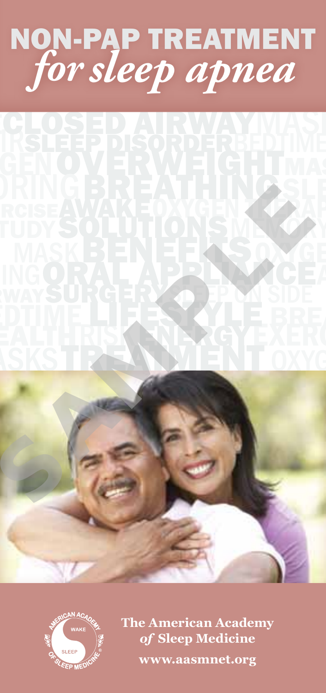# non-pap treatment *for sleep apnea*







**The American Academy**  *of* **Sleep Medicine www.aasmnet.org**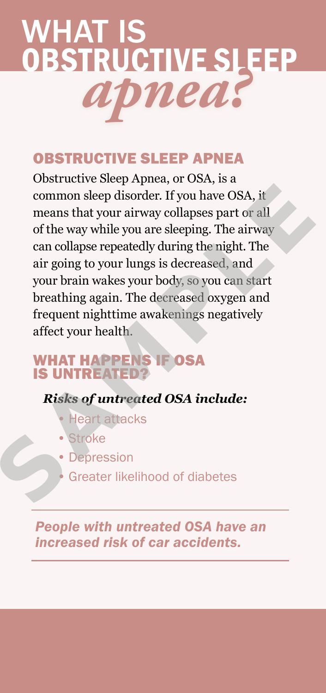

#### Obstructive Sleep Apnea

Obstructive Sleep Apnea, or OSA, is a common sleep disorder. If you have OSA, it means that your airway collapses part or all of the way while you are sleeping. The airway can collapse repeatedly during the night. The air going to your lungs is decreased, and your brain wakes your body, so you can start breathing again. The decreased oxygen and frequent nighttime awakenings negatively affect your health. means that your airway collapses part or all<br>of the way while you are sleeping. The airway<br>can collapse repeatedly during the night. The<br>air going to your lungs is decreased, and<br>your brain wakes your body, so you can star

## WHAT HAPPENS IF OSA<br>is untreated?

#### *Risks of untreated OSA include:*

- **Heart attacks**
- **Stroke**
- **Depression**
- **Greater likelihood of diabetes**

*People with untreated OSA have an increased risk of car accidents.*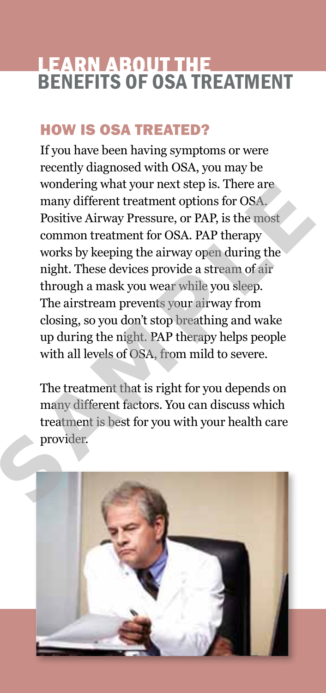#### learn about the **BENEFITS OF OSA TREATMENT**

#### How is osa treated?

If you have been having symptoms or were recently diagnosed with OSA, you may be wondering what your next step is. There are many different treatment options for OSA. Positive Airway Pressure, or PAP, is the most common treatment for OSA. PAP therapy works by keeping the airway open during the night. These devices provide a stream of air through a mask you wear while you sleep. The airstream prevents your airway from closing, so you don't stop breathing and wake up during the night. PAP therapy helps people with all levels of OSA, from mild to severe. many dirterent treatment options for OSA.<br>Positive Airway Pressure, or PAP, is the most<br>common treatment for OSA. PAP therapy<br>works by keeping the airway open during the<br>night. These devices provide a stream of air<br>through

The treatment that is right for you depends on many different factors. You can discuss which treatment is best for you with your health care provider.

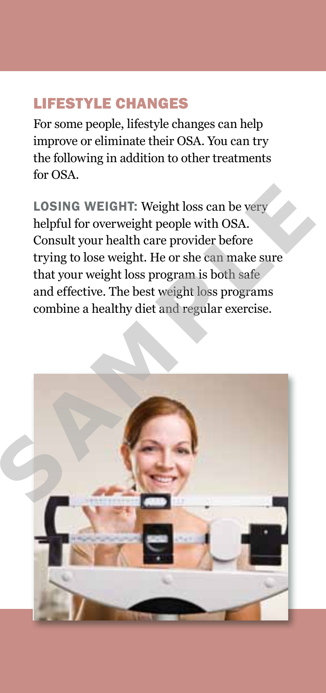#### Lifestyle Changes

For some people, lifestyle changes can help improve or eliminate their OSA. You can try the following in addition to other treatments for OSA.

LOSING WEIGHT: Weight loss can be very helpful for overweight people with OSA. Consult your health care provider before trying to lose weight. He or she can make sure that your weight loss program is both safe and effective. The best weight loss programs combine a healthy diet and regular exercise.

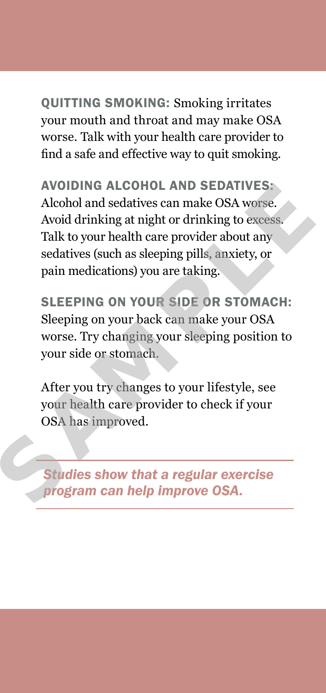Quitting smoking: Smoking irritates your mouth and throat and may make OSA worse. Talk with your health care provider to find a safe and effective way to quit smoking.

AVOIDING ALCOHOL AND SEDATIVES: Alcohol and sedatives can make OSA worse. Avoid drinking at night or drinking to excess. Talk to your health care provider about any sedatives (such as sleeping pills, anxiety, or pain medications) you are taking. Alcohol and sedatives can make OSA worse.<br>
Avoid drinking at night or drinking to excess.<br>
Talk to your health care provider about any<br>
sedatives (such as sleeping pills, anxiety, or<br>
pain medications) you are taking.<br>
SLE

Sleeping on your side or stomach: Sleeping on your back can make your OSA worse. Try changing your sleeping position to your side or stomach.

After you try changes to your lifestyle, see your health care provider to check if your OSA has improved.

*Studies show that a regular exercise program can help improve OSA.*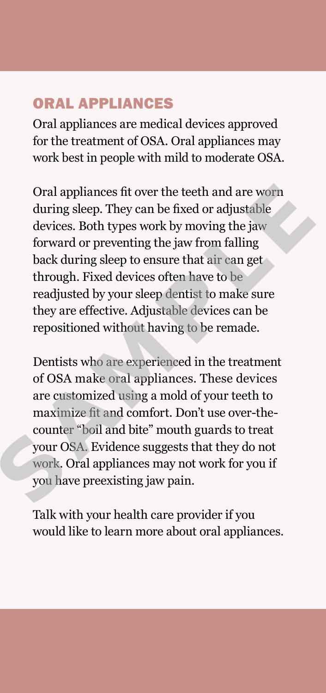#### Oral Appliances

Oral appliances are medical devices approved for the treatment of OSA. Oral appliances may work best in people with mild to moderate OSA.

Oral appliances fit over the teeth and are worn during sleep. They can be fixed or adjustable devices. Both types work by moving the jaw forward or preventing the jaw from falling back during sleep to ensure that air can get through. Fixed devices often have to be readjusted by your sleep dentist to make sure they are effective. Adjustable devices can be repositioned without having to be remade. during sleep. They can be fixed or adjustable<br>devices. Both types work by moving the jaw<br>forward or preventing the jaw from falling<br>back during sleep to ensure that air can get<br>through. Fixed devices often have to be<br>readj

Dentists who are experienced in the treatment of OSA make oral appliances. These devices are customized using a mold of your teeth to maximize fit and comfort. Don't use over-thecounter "boil and bite" mouth guards to treat your OSA. Evidence suggests that they do not work. Oral appliances may not work for you if you have preexisting jaw pain.

Talk with your health care provider if you would like to learn more about oral appliances.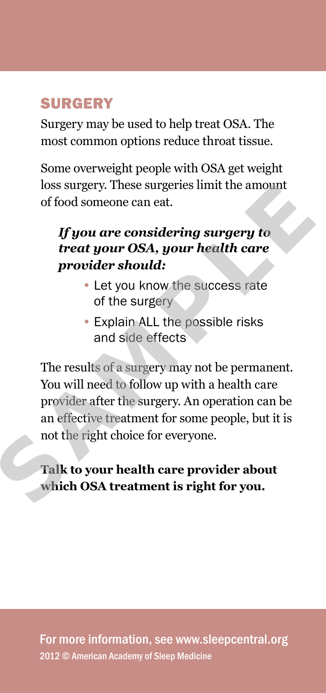#### Surgery

Surgery may be used to help treat OSA. The most common options reduce throat tissue.

Some overweight people with OSA get weight loss surgery. These surgeries limit the amount of food someone can eat.

#### *If you are considering surgery to treat your OSA, your health care provider should:*

- Let you know the success rate of the surgery
- Explain ALL the possible risks and side effects

The results of a surgery may not be permanent. You will need to follow up with a health care provider after the surgery. An operation can be an effective treatment for some people, but it is not the right choice for everyone. of tood someone can eat.<br>
If you are considering surgery to<br>
treat your OSA, your health care<br>
provider should:<br>
• Let you know the success rate<br>
of the surgery<br>
• Explain ALL the possible risks<br>
and side effects<br>
The resu

#### **Talk to your health care provider about which OSA treatment is right for you.**